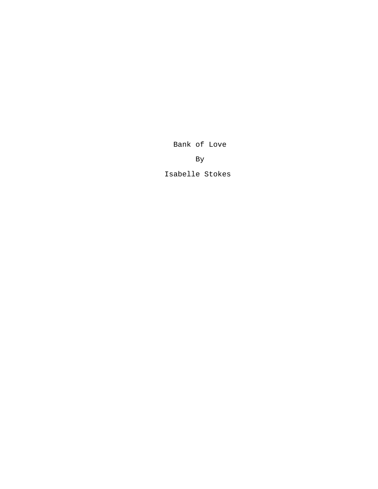Bank of Love

By

Isabelle Stokes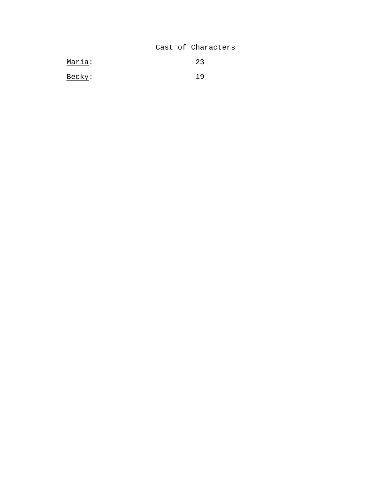# Cast of Characters

| Maria: | 23  |
|--------|-----|
| Becky: | 1 Q |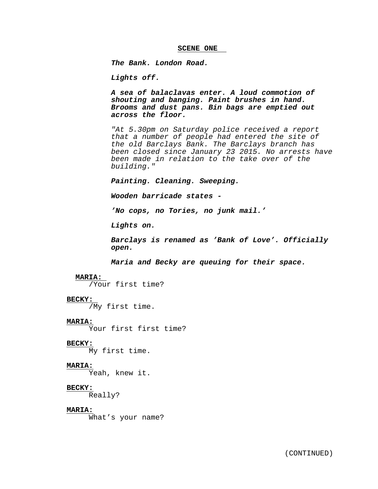### **SCENE ONE**

*The Bank. London Road.*

*Lights off.*

*A sea of balaclavas enter. A loud commotion of shouting and banging. Paint brushes in hand. Brooms and dust pans. Bin bags are emptied out across the floor.*

*"At 5.30pm on Saturday police received a report that a number of people had entered the site of the old Barclays Bank. The Barclays branch has been closed since January 23 2015. No arrests have been made in relation to the take over of the building."*

*Painting. Cleaning. Sweeping.*

*Wooden barricade states -*

*'No cops, no Tories, no junk mail.'*

*Lights on.*

*Barclays is renamed as 'Bank of Love'. Officially open.*

*Maria and Becky are queuing for their space.*

## **MARIA:**

/Your first time?

### **BECKY:**

/My first time.

# **MARIA:**

Your first first time?

#### **BECKY:**

My first time.

#### **MARIA:**

Yeah, knew it.

# **BECKY:**

Really?

### **MARIA:**

What's your name?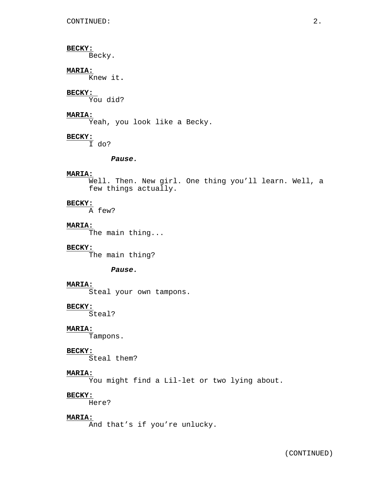Becky.

# **MARIA:**

Knew it**.**

### **BECKY:**

You did?

# **MARIA:**

Yeah, you look like a Becky.

# **BECKY:**

I do?

# *Pause.*

# **MARIA:**

Well. Then. New girl. One thing you'll learn. Well, a few things actually.

# **BECKY:**

A few?

# **MARIA:**

The main thing...

# **BECKY:**

The main thing?

# *Pause.*

### **MARIA:**

Steal your own tampons.

# **BECKY:**

Steal?

# **MARIA:**

Tampons.

### **BECKY:**

Steal them?

# **MARIA:**

You might find a Lil-let or two lying about.

# **BECKY:**

Here?

# **MARIA:**

And that's if you're unlucky.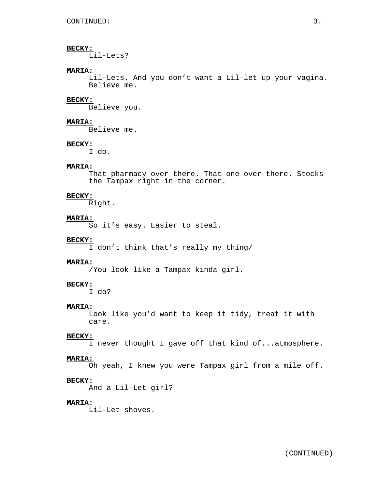Lil-Lets?

# **MARIA:**

Lil-Lets. And you don't want a Lil-let up your vagina. Believe me.

### **BECKY:**

Believe you.

# **MARIA:**

Believe me.

### **BECKY:**

I do.

# **MARIA:**

That pharmacy over there. That one over there. Stocks the Tampax right in the corner.

### **BECKY:**

Right.

# **MARIA:**

So it's easy. Easier to steal.

# **BECKY:**

I don't think that's really my thing/

### **MARIA:**

/You look like a Tampax kinda girl.

# **BECKY:**

I do?

### **MARIA:**

Look like you'd want to keep it tidy, treat it with care.

### **BECKY:**

I never thought I gave off that kind of...atmosphere.

# **MARIA:**

Oh yeah, I knew you were Tampax girl from a mile off.

# **BECKY:**

And a Lil-Let girl?

# **MARIA:**

Lil-Let shoves.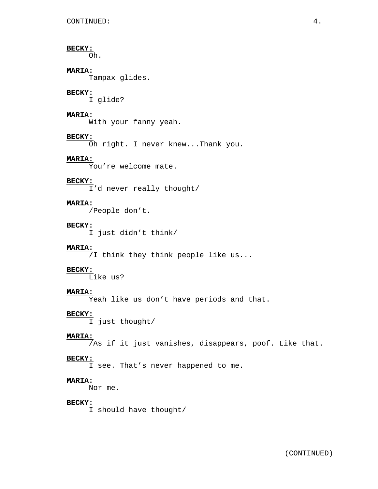Oh.

# **MARIA:**

Tampax glides.

# **BECKY:**

I glide?

# **MARIA:**

With your fanny yeah.

# **BECKY:**

Oh right. I never knew...Thank you.

# **MARIA:**

You're welcome mate.

### **BECKY:**

I'd never really thought/

# **MARIA:**

 $\sqrt{}$ People don't.

### **BECKY:**

I just didn't think/

# **MARIA:**

/I think they think people like us...

# **BECKY:**

 $\overline{\text{L}}$ ike us?

# **MARIA:**

Yeah like us don't have periods and that.

### **BECKY:**

I just thought/

# **MARIA:**

 $\sqrt{a}$ s if it just vanishes, disappears, poof. Like that.

# **BECKY:**

I see. That's never happened to me.

# **MARIA:**

Nor me.

# **BECKY:**

I should have thought/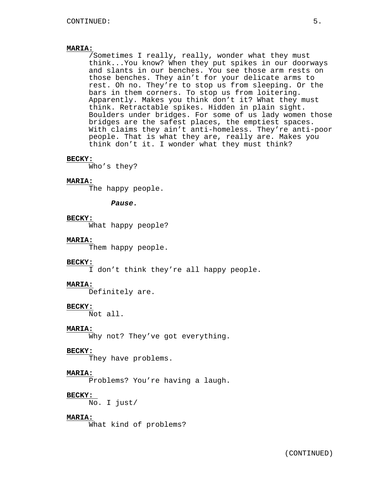/Sometimes I really, really, wonder what they must think...You know? When they put spikes in our doorways and slants in our benches. You see those arm rests on those benches. They ain't for your delicate arms to rest. Oh no. They're to stop us from sleeping. Or the bars in them corners. To stop us from loitering. Apparently. Makes you think don't it? What they must think. Retractable spikes. Hidden in plain sight. Boulders under bridges. For some of us lady women those bridges are the safest places, the emptiest spaces. With claims they ain't anti-homeless. They're anti-poor people. That is what they are, really are. Makes you think don't it. I wonder what they must think?

### **BECKY:**

Who's they?

# **MARIA:**

The happy people.

### *Pause.*

# **BECKY:**

What happy people?

# **MARIA:**

Them happy people.

# **BECKY:**

I don't think they're all happy people.

# **MARIA:**

Definitely are.

## **BECKY:**

Not all.

### **MARIA:**

Why not? They've got everything.

### **BECKY:**

They have problems.

# **MARIA:**

Problems? You're having a laugh.

### **BECKY:**

No. I just/

# **MARIA:**

What kind of problems?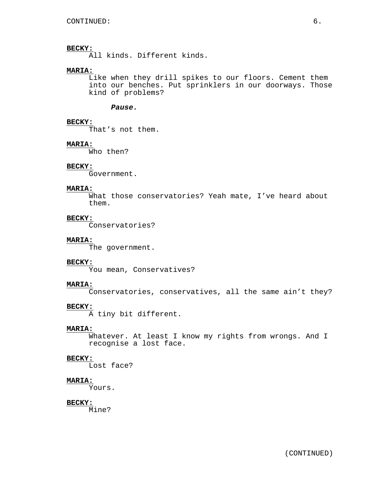$\overline{\text{Al}}$ l kinds. Different kinds.

## **MARIA:**

Like when they drill spikes to our floors. Cement them into our benches. Put sprinklers in our doorways. Those kind of problems?

### *Pause.*

# **BECKY:**

That's not them.

#### **MARIA:**

Who then?

## **BECKY:**

Government.

### **MARIA:**

What those conservatories? Yeah mate, I've heard about them.

# **BECKY:**

Conservatories?

# **MARIA:**

The government.

#### **BECKY:**

You mean, Conservatives?

### **MARIA:**

Conservatories, conservatives, all the same ain't they?

# **BECKY:**

A tiny bit different.

### **MARIA:**

Whatever. At least I know my rights from wrongs. And I recognise a lost face.

### **BECKY:**

Lost face?

# **MARIA:**

Yours.

### **BECKY:**

Mine?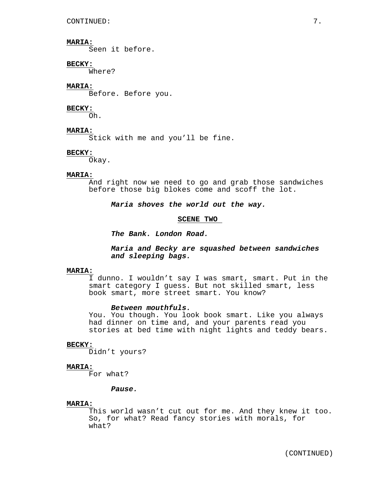Seen it before.

## **BECKY:**

Where?

## **MARIA:**

Before. Before you.

### **BECKY:**

Oh.

### **MARIA:**

Stick with me and you'll be fine.

### **BECKY:**

Okay.

### **MARIA:**

And right now we need to go and grab those sandwiches before those big blokes come and scoff the lot.

*Maria shoves the world out the way.*

#### **SCENE TWO**

*The Bank. London Road.*

# *Maria and Becky are squashed between sandwiches and sleeping bags.*

### **MARIA:**

I dunno. I wouldn't say I was smart, smart. Put in the smart category I guess. But not skilled smart, less book smart, more street smart. You know?

#### *Between mouthfuls.*

You. You though. You look book smart. Like you always had dinner on time and, and your parents read you stories at bed time with night lights and teddy bears.

# **BECKY:**

Didn't yours?

### **MARIA:**

For what?

#### *Pause.*

### **MARIA:**

This world wasn't cut out for me. And they knew it too. So, for what? Read fancy stories with morals, for what?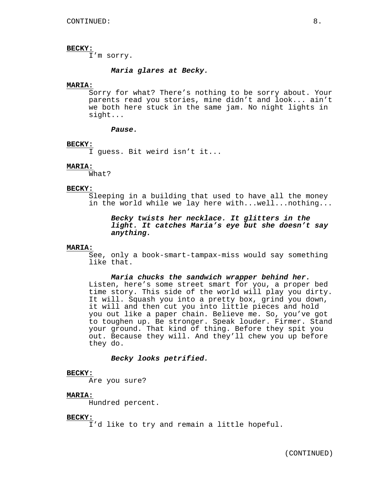I'm sorry.

# *Maria glares at Becky.*

# **MARIA:**

Sorry for what? There's nothing to be sorry about. Your parents read you stories, mine didn't and look... ain't we both here stuck in the same jam. No night lights in sight...

#### *Pause.*

#### **BECKY:**

I guess. Bit weird isn't it...

## **MARIA:**

What?

#### **BECKY:**

Sleeping in a building that used to have all the money in the world while we lay here with...well...nothing...

*Becky twists her necklace. It glitters in the light. It catches Maria's eye but she doesn't say anything.*

# **MARIA:**

See, only a book-smart-tampax-miss would say something like that.

# *Maria chucks the sandwich wrapper behind her.*

Listen, here's some street smart for you, a proper bed time story. This side of the world will play you dirty. It will. Squash you into a pretty box, grind you down, it will and then cut you into little pieces and hold you out like a paper chain. Believe me. So, you've got to toughen up. Be stronger. Speak louder. Firmer. Stand your ground. That kind of thing. Before they spit you out. Because they will. And they'll chew you up before they do.

#### *Becky looks petrified.*

#### **BECKY:**

Are you sure?

#### **MARIA:**

Hundred percent.

### **BECKY:**

I'd like to try and remain a little hopeful.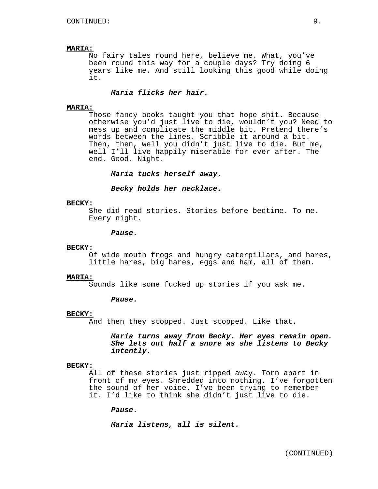No fairy tales round here, believe me. What, you've been round this way for a couple days? Try doing 6 years like me. And still looking this good while doing it.

## *Maria flicks her hair.*

#### **MARIA:**

Those fancy books taught you that hope shit. Because otherwise you'd just live to die, wouldn't you? Need to mess up and complicate the middle bit. Pretend there's words between the lines. Scribble it around a bit. Then, then, well you didn't just live to die. But me, well I'll live happily miserable for ever after. The end. Good. Night.

*Maria tucks herself away.*

*Becky holds her necklace.*

#### **BECKY:**

She did read stories. Stories before bedtime. To me. Every night.

### *Pause.*

### **BECKY:**

Of wide mouth frogs and hungry caterpillars, and hares, little hares, big hares, eggs and ham, all of them.

## **MARIA:**

Sounds like some fucked up stories if you ask me.

### *Pause.*

#### **BECKY:**

And then they stopped. Just stopped. Like that.

*Maria turns away from Becky. Her eyes remain open. She lets out half a snore as she listens to Becky intently.*

# **BECKY:**

All of these stories just ripped away. Torn apart in front of my eyes. Shredded into nothing. I've forgotten the sound of her voice. I've been trying to remember it. I'd like to think she didn't just live to die.

*Pause.*

*Maria listens, all is silent.*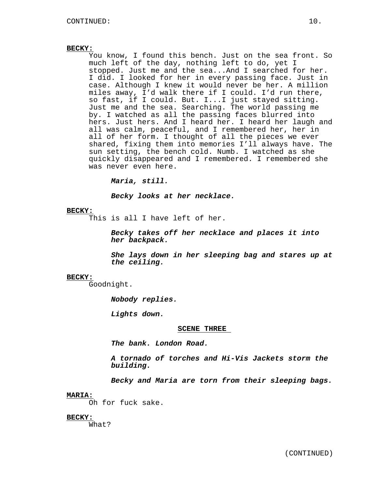You know, I found this bench. Just on the sea front. So much left of the day, nothing left to do, yet I stopped. Just me and the sea...And I searched for her. I did. I looked for her in every passing face. Just in case. Although I knew it would never be her. A million miles away, I'd walk there if I could. I'd run there, so fast, if I could. But. I...I just stayed sitting. Just me and the sea. Searching. The world passing me by. I watched as all the passing faces blurred into hers. Just hers. And I heard her. I heard her laugh and all was calm, peaceful, and I remembered her, her in all of her form. I thought of all the pieces we ever shared, fixing them into memories I'll always have. The sun setting, the bench cold. Numb. I watched as she quickly disappeared and I remembered. I remembered she was never even here.

*Maria, still.*

*Becky looks at her necklace.*

#### **BECKY:**

This is all I have left of her.

*Becky takes off her necklace and places it into her backpack.*

*She lays down in her sleeping bag and stares up at the ceiling.*

### **BECKY:**

Goodnight.

*Nobody replies.*

*Lights down.*

#### **SCENE THREE**

*The bank. London Road.*

*A tornado of torches and Hi-Vis Jackets storm the building.*

*Becky and Maria are torn from their sleeping bags.*

#### **MARIA:**

Oh for fuck sake.

# **BECKY:**

What?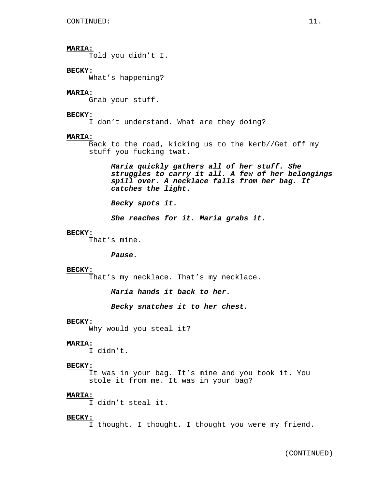Told you didn't I.

# **BECKY:**

What's happening?

### **MARIA:**

Grab your stuff.

### **BECKY:**

I don't understand. What are they doing?

#### **MARIA:**

Back to the road, kicking us to the kerb//Get off my stuff you fucking twat.

*Maria quickly gathers all of her stuff. She struggles to carry it all. A few of her belongings spill over. A necklace falls from her bag. It catches the light.*

*Becky spots it.*

*She reaches for it. Maria grabs it.*

### **BECKY:**

That's mine.

### *Pause.*

#### **BECKY:**

That's my necklace. That's my necklace.

*Maria hands it back to her.*

*Becky snatches it to her chest.*

#### **BECKY:**

Why would you steal it?

#### **MARIA:**

I didn't.

#### **BECKY:**

It was in your bag. It's mine and you took it. You stole it from me. It was in your bag?

#### **MARIA:**

I didn't steal it.

#### **BECKY:**

I thought. I thought. I thought you were my friend.